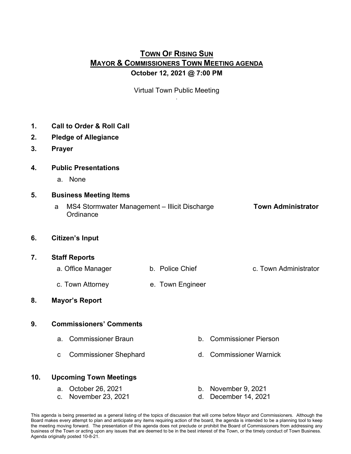# **TOWN OF RISING SUN MAYOR & COMMISSIONERS TOWN MEETING AGENDA October 12, 2021 @ 7:00 PM**

Virtual Town Public Meeting .

| 1.  | <b>Call to Order &amp; Roll Call</b>                            |                  |                                          |                           |
|-----|-----------------------------------------------------------------|------------------|------------------------------------------|---------------------------|
| 2.  | <b>Pledge of Allegiance</b>                                     |                  |                                          |                           |
| 3.  | <b>Prayer</b>                                                   |                  |                                          |                           |
| 4.  | <b>Public Presentations</b>                                     |                  |                                          |                           |
|     | a. None                                                         |                  |                                          |                           |
| 5.  | <b>Business Meeting Items</b>                                   |                  |                                          |                           |
|     | MS4 Stormwater Management - Illicit Discharge<br>a<br>Ordinance |                  |                                          | <b>Town Administrator</b> |
| 6.  | <b>Citizen's Input</b>                                          |                  |                                          |                           |
| 7.  | <b>Staff Reports</b>                                            |                  |                                          |                           |
|     | a. Office Manager                                               | b. Police Chief  |                                          | c. Town Administrator     |
|     | c. Town Attorney                                                | e. Town Engineer |                                          |                           |
| 8.  | <b>Mayor's Report</b>                                           |                  |                                          |                           |
| 9.  | <b>Commissioners' Comments</b>                                  |                  |                                          |                           |
|     | <b>Commissioner Braun</b><br>a.                                 |                  | b. Commissioner Pierson                  |                           |
|     | <b>Commissioner Shephard</b><br>C                               |                  | d. Commissioner Warnick                  |                           |
| 10. | <b>Upcoming Town Meetings</b>                                   |                  |                                          |                           |
|     | October 26, 2021<br>a.<br>November 23, 2021<br>C.               | d.               | b. November 9, 2021<br>December 14, 2021 |                           |
|     |                                                                 |                  |                                          |                           |

This agenda is being presented as a general listing of the topics of discussion that will come before Mayor and Commissioners. Although the Board makes every attempt to plan and anticipate any items requiring action of the board, the agenda is intended to be a planning tool to keep the meeting moving forward. The presentation of this agenda does not preclude or prohibit the Board of Commissioners from addressing any business of the Town or acting upon any issues that are deemed to be in the best interest of the Town, or the timely conduct of Town Business. Agenda originally posted 10-8-21.